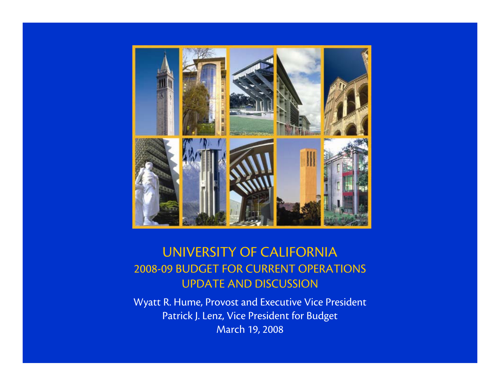

### UNIVERSITY OF CALIFORNIA 2008-09 BUDGET FOR CURRENT OPERATIONS UPDATE AND DISCUSSION

Wyatt R. Hume, Provost and Executive Vice President Patrick J. Lenz, Vice President for Budget March 19, 2008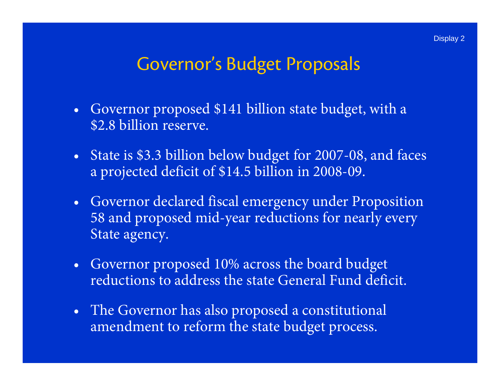## Governor's Budget Proposals

- $\bullet$  Governor proposed \$141 billion state budget, with a \$2.8 billion reserve.
- $\bullet$  State is \$3.3 billion below budget for 2007-08, and faces a projected deficit of \$14.5 billion in 2008-09.
- $\bullet$  Governor declared fiscal emergency under Proposition 58 and proposed mid-year reductions for nearly every State agency.
- $\bullet$  Governor proposed 10% across the board budget reductions to address the state General Fund deficit.
- The Governor has also proposed a constitutional amendment to reform the state budget process.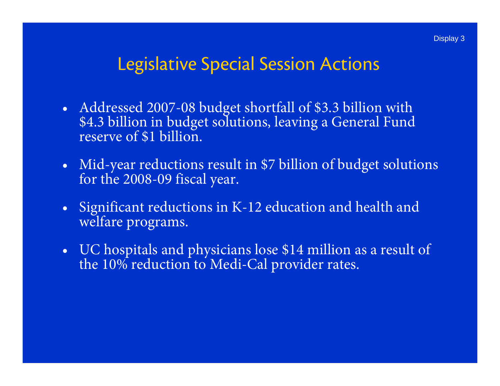### Legislative Special Session Actions

- Addressed 2007-08 budget shortfall of \$3.3 billion with \$4.3 billion in budget solutions, leaving a General Fund reserve of \$1 billion.
- $\bullet$ Mid-year reductions result in \$7 billion of budget solutions for the 2008-09 fiscal year.
- •Significant reductions in K-12 education and health and welfare programs.
- $\bullet$ UC hospitals and physicians lose \$14 million as a result of the 10% reduction to Medi-Cal provider rates.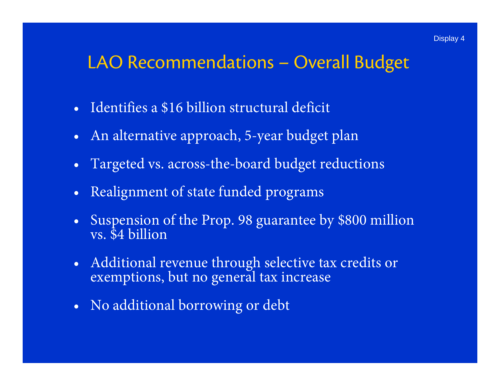### LAO Recommendations – Overall Budget

- Identifies a \$16 billion structural deficit
- $\bullet$ An alternative approach, 5-year budget plan
- •Targeted vs. across-the-board budget reductions
- $\bullet$ Realignment of state funded programs
- •Suspension of the Prop. 98 guarantee by \$800 million vs. \$4 billion
- $\bullet$ Additional revenue through selective tax credits or exemptions, but no general tax increase
- $\bullet$ No additional borrowing or debt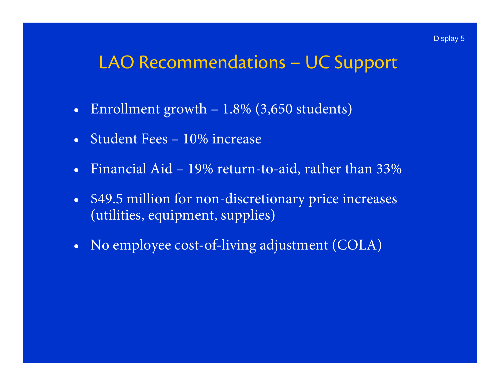## LAO Recommendations – UC Support

- $\bullet$ Enrollment growth – 1.8% (3,650 students)
- Student Fees 10% increase
- Financial Aid 19% return-to-aid, rather than 33%
- $\bullet$  \$49.5 million for non-discretionary price increases (utilities, equipment, supplies)
- $\bullet$ No employee cost-of-living adjustment (COLA)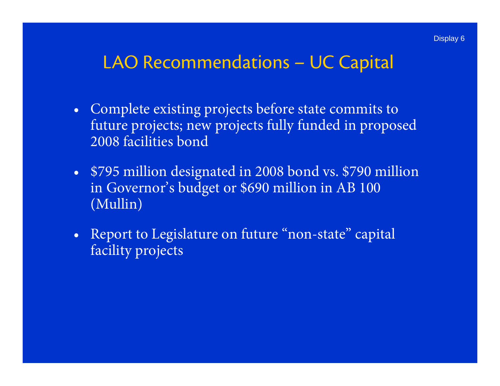## LAO Recommendations – UC Capital

- $\bullet$  Complete existing projects before state commits to future projects; new projects fully funded in proposed 2008 facilities bond
- $\bullet$  \$795 million designated in 2008 bond vs. \$790 million in Governor's budget or \$690 million in AB 100 (Mullin)
- • Report to Legislature on future "non-state" capital facility projects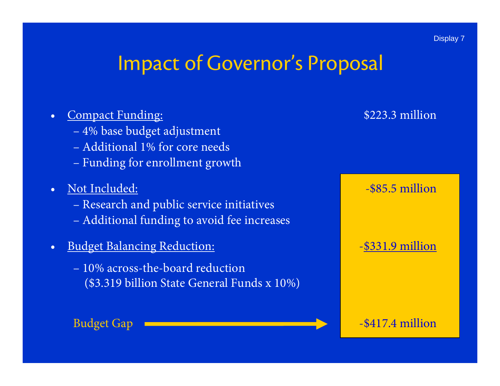## Impact of Governor's Proposal

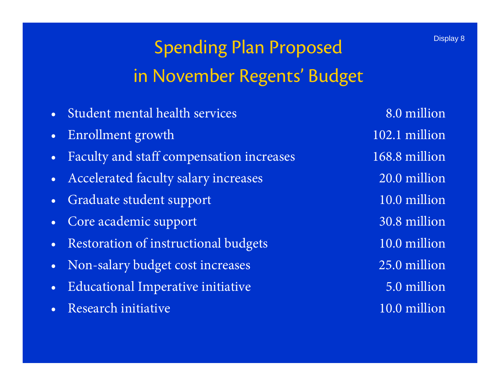- •Student mental health services
- •Enrollment growth 102.1 million
- •Faculty and staff compensation increases 168.8 million
- •Accelerated faculty salary increases 20.0 million
- •Graduate student support 10.0 million
- •Core academic support 30.8 million
- •Restoration of instructional budgets 10.0 million
- •Non-salary budget cost increases 25.0 million
- $\bullet$ Educational Imperative initiative 5.0 million
- $\bullet$ Research initiative 10.0 million

8.0 million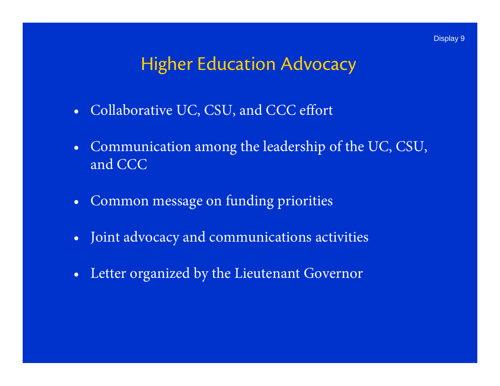## Higher Education Advocacy

- Collaborative UC, CSU, and CCC effort
- $\bullet$  Communication among the leadership of the UC, CSU, and CCC
- $\bullet$ Common message on funding priorities
- $\bullet$ Joint advocacy and communications activities
- $\bullet$ Letter organized by the Lieutenant Governor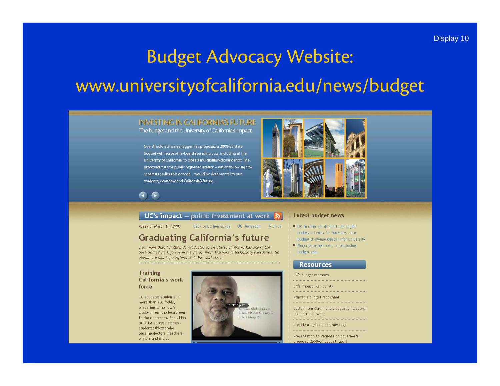# Budget Advocacy Website: www.universityofcalifornia.edu/news/budget

#### **INVESTING IN CALIFORNIA'S FUTURE** The budget and the University of California's impact

Gov. Arnold Schwarzenegger has proposed a 2008-09 state budget with across-the-board spending cuts, including at the University of California, to close a multibillion-dollar deficit. The proposed cuts for public higher education - which follow significant cuts earlier this decade - would be detrimental to our students, economy and California's future.



c

#### **UC's impact** – public investment at work  $\left| \mathbf{a} \right|$

Week of March 17, 2008

Back to UC homepage UC Newsroom Archive

#### **Graduating California's future**

With more than 1 million UC graduates in the state, California has one of the best-trained work forces in the world. From teachers to technology executives, UC alumni are making a difference in the workplace.

#### **Training** California's work force

UC educates students in more than 150 fields, preparing tomorrow's leaders from the boardroom to the classroom. See video of UCLA success stories student athletes who became doctors, teachers, writers and more.



#### **Latest budget news**

- UC to offer admission to all eligible undergraduates for 2008-09; state budget challenge deepens for university
- Regents review options for closing budget gap

#### **Resources**

UC's budget message

UC's impact: key points

Printable budget fact sheet

Letter from Garamendi, education leaders: Invest in education

President Dynes video message

Presentation to Regents on governor's proposed 2008-09 budget (.pdf)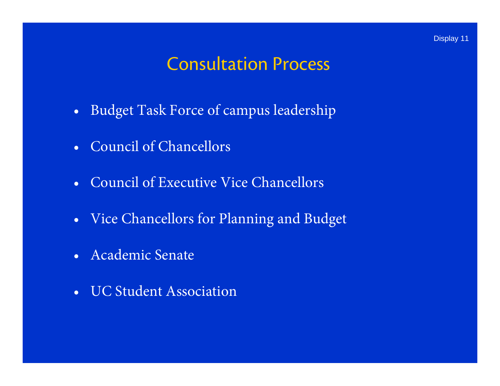### Consultation Process

- $\bullet$ Budget Task Force of campus leadership
- Council of Chancellors
- Council of Executive Vice Chancellors
- $\bullet$ Vice Chancellors for Planning and Budget
- Academic Senate
- UC Student Association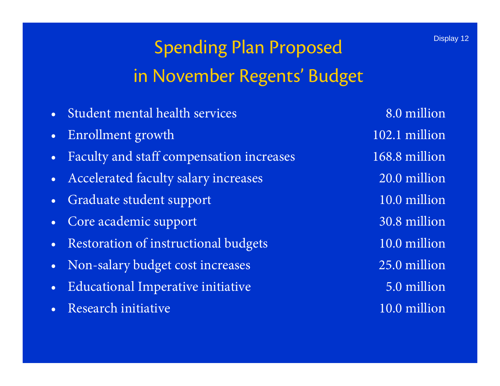## Spending Plan Proposed in November Regents' Budget

- •Student mental health services
- •Enrollment growth 102.1 million
- •Faculty and staff compensation increases 168.8 million
- •Accelerated faculty salary increases 20.0 million
- •Graduate student support 10.0 million
- •Core academic support 30.8 million
- •Restoration of instructional budgets 10.0 million
- •Non-salary budget cost increases 25.0 million
- $\bullet$ Educational Imperative initiative 5.0 million
- $\bullet$ Research initiative 10.0 million

8.0 million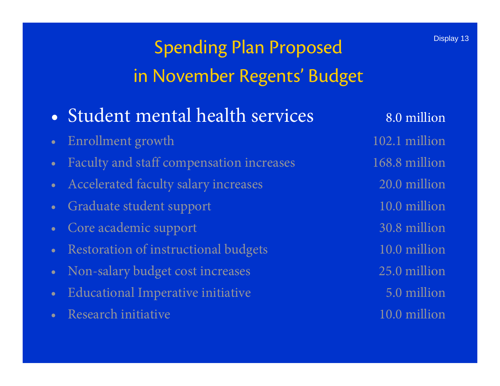- Student mental health services 8.0 million
- Enrollment growth 102.1 million
- •Faculty and staff compensation increases 168.8 million
- Accelerated faculty salary increases 20.0 million
- •Graduate student support 10.0 million
- •Core academic support 30.8 million
- •Restoration of instructional budgets 10.0 million
- •Non-salary budget cost increases 25.0 million
- •Educational Imperative initiative 5.0 million
- •Research initiative 10.0 million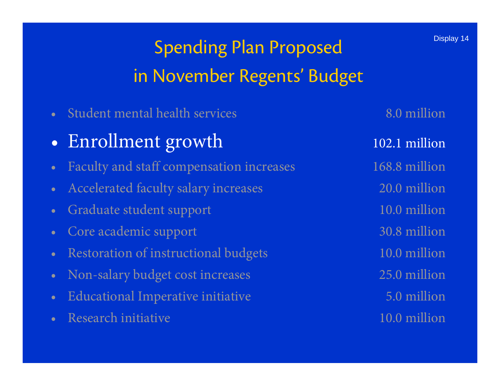•Student mental health services 8.0 million

#### $\bullet$ Enrollment growth 102.1 million

- •Faculty and staff compensation increases 168.8 million
- •Accelerated faculty salary increases 20.0 million
- •Graduate student support 10.0 million
- •Core academic support 30.8 million
- •Restoration of instructional budgets 10.0 million
- •Non-salary budget cost increases 25.0 million
- •Educational Imperative initiative 5.0 million
- •Research initiative 10.0 million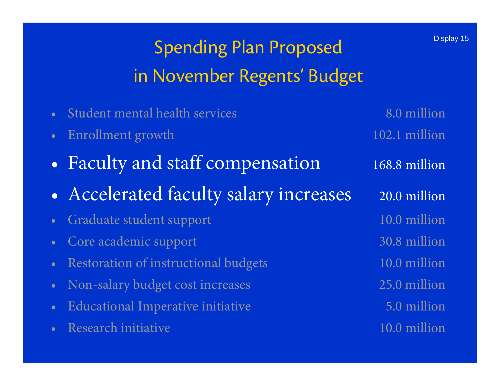|           | Student mental health services         | 8.0 million   |
|-----------|----------------------------------------|---------------|
|           | Enrollment growth                      | 102.1 million |
|           | • Faculty and staff compensation       | 168.8 million |
|           | • Accelerated faculty salary increases | 20.0 million  |
|           | Graduate student support               | 10.0 million  |
|           | • Core academic support                | 30.8 million  |
| $\bullet$ | Restoration of instructional budgets   | 10.0 million  |
|           | Non-salary budget cost increases       | 25.0 million  |
|           | Educational Imperative initiative      | 5.0 million   |
|           | Research initiative                    | 10.0 million  |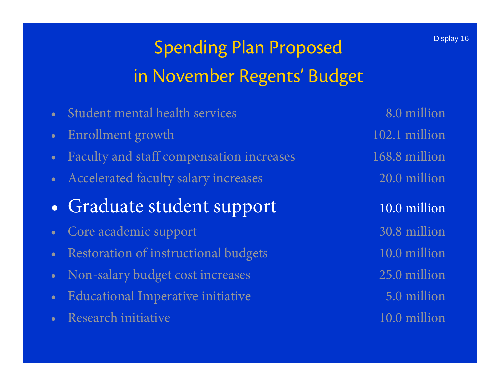- •Student mental health services 8.0 million
- •Enrollment growth 102.1 million
- •Faculty and staff compensation increases 168.8 million
- •Accelerated faculty salary increases 20.0 million
- •Graduate student support 10.0 million
- •Core academic support 30.8 million
- •Restoration of instructional budgets 10.0 million
- •Non-salary budget cost increases 25.0 million
- •Educational Imperative initiative 5.0 million
- •Research initiative 10.0 million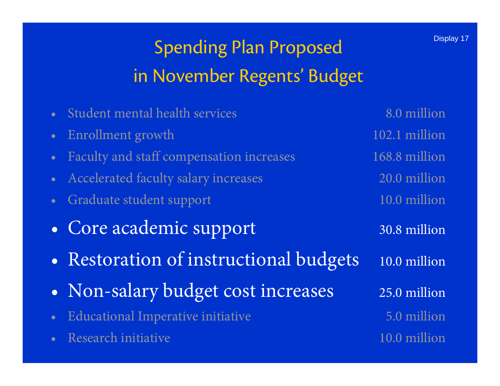|                 | Student mental health services           | 8.0 million   |
|-----------------|------------------------------------------|---------------|
| $\bullet^\circ$ | Enrollment growth                        | 102.1 million |
| $\bullet$       | Faculty and staff compensation increases | 168.8 million |
| $\bullet^\circ$ | Accelerated faculty salary increases     | 20.0 million  |
| $\bullet$       | Graduate student support                 | 10.0 million  |
|                 | • Core academic support                  | 30.8 million  |
|                 | • Restoration of instructional budgets   | 10.0 million  |
|                 | • Non-salary budget cost increases       | 25.0 million  |
| $\bullet$       | Educational Imperative initiative        | 5.0 million   |
|                 | Research initiative                      | 10.0 million  |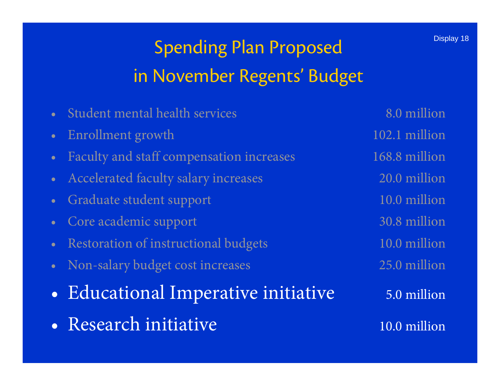## Spending Plan Proposed in November Regents' Budget

- •Student mental health services 8.0 million
- Enrollment growth 102.1 million
- •Faculty and staff compensation increases 168.8 million
- •Accelerated faculty salary increases 20.0 million
- •Graduate student support 10.0 million
- •Core academic support 30.8 million
- •Restoration of instructional budgets 10.0 million
- Non-salary budget cost increases 25.0 million
- $\bullet$ Educational Imperative initiative 5.0 million
- Research initiative

10.0 million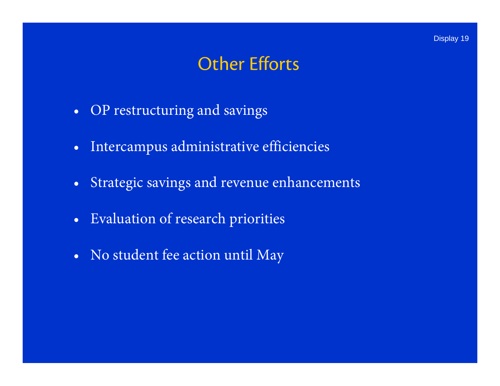## Other Efforts

- $\bullet$ OP restructuring and savings
- Intercampus administrative efficiencies
- •Strategic savings and revenue enhancements
- Evaluation of research priorities
- $\bullet$ No student fee action until May